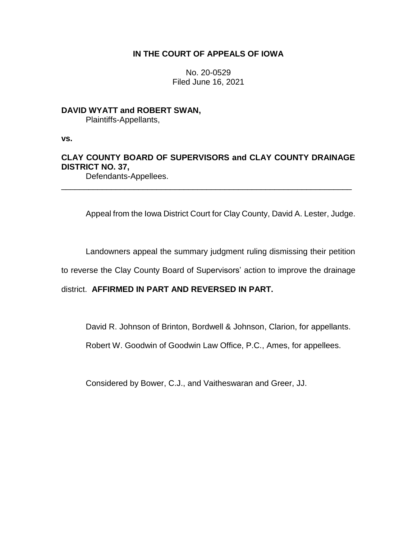# **IN THE COURT OF APPEALS OF IOWA**

No. 20-0529 Filed June 16, 2021

# **DAVID WYATT and ROBERT SWAN,**

Plaintiffs-Appellants,

**vs.**

# **CLAY COUNTY BOARD OF SUPERVISORS and CLAY COUNTY DRAINAGE DISTRICT NO. 37,**

\_\_\_\_\_\_\_\_\_\_\_\_\_\_\_\_\_\_\_\_\_\_\_\_\_\_\_\_\_\_\_\_\_\_\_\_\_\_\_\_\_\_\_\_\_\_\_\_\_\_\_\_\_\_\_\_\_\_\_\_\_\_\_\_

Defendants-Appellees.

Appeal from the Iowa District Court for Clay County, David A. Lester, Judge.

Landowners appeal the summary judgment ruling dismissing their petition

to reverse the Clay County Board of Supervisors' action to improve the drainage

district. **AFFIRMED IN PART AND REVERSED IN PART.**

David R. Johnson of Brinton, Bordwell & Johnson, Clarion, for appellants.

Robert W. Goodwin of Goodwin Law Office, P.C., Ames, for appellees.

Considered by Bower, C.J., and Vaitheswaran and Greer, JJ.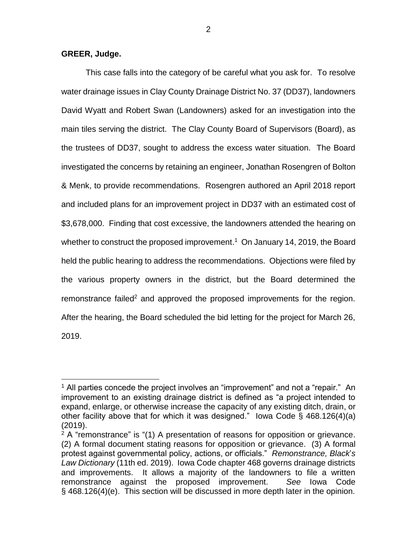**GREER, Judge.**

 $\overline{a}$ 

This case falls into the category of be careful what you ask for. To resolve water drainage issues in Clay County Drainage District No. 37 (DD37), landowners David Wyatt and Robert Swan (Landowners) asked for an investigation into the main tiles serving the district. The Clay County Board of Supervisors (Board), as the trustees of DD37, sought to address the excess water situation. The Board investigated the concerns by retaining an engineer, Jonathan Rosengren of Bolton & Menk, to provide recommendations. Rosengren authored an April 2018 report and included plans for an improvement project in DD37 with an estimated cost of \$3,678,000. Finding that cost excessive, the landowners attended the hearing on whether to construct the proposed improvement.<sup>1</sup> On January 14, 2019, the Board held the public hearing to address the recommendations. Objections were filed by the various property owners in the district, but the Board determined the remonstrance failed<sup>2</sup> and approved the proposed improvements for the region. After the hearing, the Board scheduled the bid letting for the project for March 26, 2019.

<sup>&</sup>lt;sup>1</sup> All parties concede the project involves an "improvement" and not a "repair." An improvement to an existing drainage district is defined as "a project intended to expand, enlarge, or otherwise increase the capacity of any existing ditch, drain, or other facility above that for which it was designed." Iowa Code § 468.126(4)(a) (2019).

 $2A$  "remonstrance" is "(1) A presentation of reasons for opposition or grievance. (2) A formal document stating reasons for opposition or grievance. (3) A formal protest against governmental policy, actions, or officials." *Remonstrance, Black*'*s Law Dictionary* (11th ed. 2019). Iowa Code chapter 468 governs drainage districts and improvements. It allows a majority of the landowners to file a written remonstrance against the proposed improvement. *See* Iowa Code § 468.126(4)(e). This section will be discussed in more depth later in the opinion.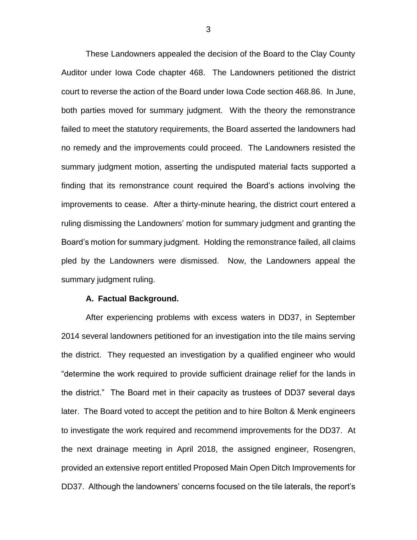These Landowners appealed the decision of the Board to the Clay County Auditor under Iowa Code chapter 468. The Landowners petitioned the district court to reverse the action of the Board under Iowa Code section 468.86. In June, both parties moved for summary judgment. With the theory the remonstrance failed to meet the statutory requirements, the Board asserted the landowners had no remedy and the improvements could proceed. The Landowners resisted the summary judgment motion, asserting the undisputed material facts supported a finding that its remonstrance count required the Board's actions involving the improvements to cease. After a thirty-minute hearing, the district court entered a ruling dismissing the Landowners' motion for summary judgment and granting the Board's motion for summary judgment. Holding the remonstrance failed, all claims pled by the Landowners were dismissed. Now, the Landowners appeal the summary judgment ruling.

#### **A. Factual Background.**

After experiencing problems with excess waters in DD37, in September 2014 several landowners petitioned for an investigation into the tile mains serving the district. They requested an investigation by a qualified engineer who would "determine the work required to provide sufficient drainage relief for the lands in the district." The Board met in their capacity as trustees of DD37 several days later. The Board voted to accept the petition and to hire Bolton & Menk engineers to investigate the work required and recommend improvements for the DD37. At the next drainage meeting in April 2018, the assigned engineer, Rosengren, provided an extensive report entitled Proposed Main Open Ditch Improvements for DD37. Although the landowners' concerns focused on the tile laterals, the report's

3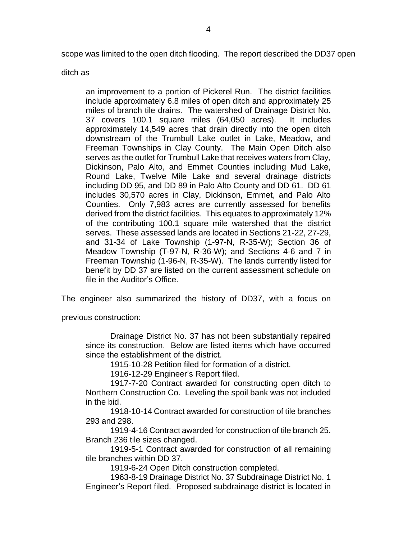scope was limited to the open ditch flooding. The report described the DD37 open

ditch as

an improvement to a portion of Pickerel Run. The district facilities include approximately 6.8 miles of open ditch and approximately 25 miles of branch tile drains. The watershed of Drainage District No. 37 covers 100.1 square miles (64,050 acres). It includes approximately 14,549 acres that drain directly into the open ditch downstream of the Trumbull Lake outlet in Lake, Meadow, and Freeman Townships in Clay County. The Main Open Ditch also serves as the outlet for Trumbull Lake that receives waters from Clay, Dickinson, Palo Alto, and Emmet Counties including Mud Lake, Round Lake, Twelve Mile Lake and several drainage districts including DD 95, and DD 89 in Palo Alto County and DD 61. DD 61 includes 30,570 acres in Clay, Dickinson, Emmet, and Palo Alto Counties. Only 7,983 acres are currently assessed for benefits derived from the district facilities. This equates to approximately 12% of the contributing 100.1 square mile watershed that the district serves. These assessed lands are located in Sections 21-22, 27-29, and 31-34 of Lake Township (1-97-N, R-35-W); Section 36 of Meadow Township (T-97-N, R-36-W); and Sections 4-6 and 7 in Freeman Township (1-96-N, R-35-W). The lands currently listed for benefit by DD 37 are listed on the current assessment schedule on file in the Auditor's Office.

The engineer also summarized the history of DD37, with a focus on

previous construction:

Drainage District No. 37 has not been substantially repaired since its construction. Below are listed items which have occurred since the establishment of the district.

1915-10-28 Petition filed for formation of a district.

1916-12-29 Engineer's Report filed.

1917-7-20 Contract awarded for constructing open ditch to Northern Construction Co. Leveling the spoil bank was not included in the bid.

1918-10-14 Contract awarded for construction of tile branches 293 and 298.

1919-4-16 Contract awarded for construction of tile branch 25. Branch 236 tile sizes changed.

1919-5-1 Contract awarded for construction of all remaining tile branches within DD 37.

1919-6-24 Open Ditch construction completed.

1963-8-19 Drainage District No. 37 Subdrainage District No. 1 Engineer's Report filed. Proposed subdrainage district is located in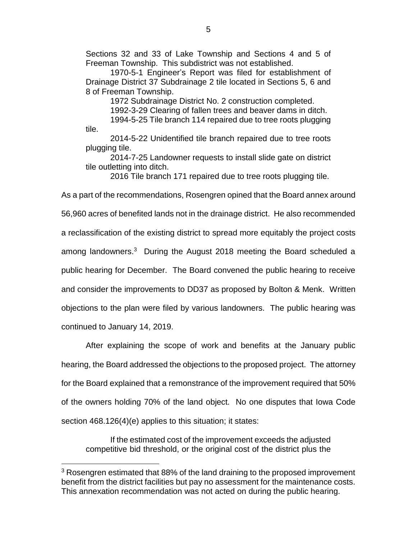Sections 32 and 33 of Lake Township and Sections 4 and 5 of Freeman Township. This subdistrict was not established.

1970-5-1 Engineer's Report was filed for establishment of Drainage District 37 Subdrainage 2 tile located in Sections 5, 6 and 8 of Freeman Township.

1972 Subdrainage District No. 2 construction completed.

1992-3-29 Clearing of fallen trees and beaver dams in ditch.

1994-5-25 Tile branch 114 repaired due to tree roots plugging tile.

2014-5-22 Unidentified tile branch repaired due to tree roots plugging tile.

2014-7-25 Landowner requests to install slide gate on district tile outletting into ditch.

2016 Tile branch 171 repaired due to tree roots plugging tile.

As a part of the recommendations, Rosengren opined that the Board annex around 56,960 acres of benefited lands not in the drainage district. He also recommended a reclassification of the existing district to spread more equitably the project costs among landowners.<sup>3</sup> During the August 2018 meeting the Board scheduled a public hearing for December. The Board convened the public hearing to receive and consider the improvements to DD37 as proposed by Bolton & Menk. Written objections to the plan were filed by various landowners. The public hearing was continued to January 14, 2019.

After explaining the scope of work and benefits at the January public hearing, the Board addressed the objections to the proposed project. The attorney for the Board explained that a remonstrance of the improvement required that 50% of the owners holding 70% of the land object. No one disputes that Iowa Code section 468.126(4)(e) applies to this situation; it states:

If the estimated cost of the improvement exceeds the adjusted competitive bid threshold, or the original cost of the district plus the

<sup>&</sup>lt;sup>3</sup> Rosengren estimated that 88% of the land draining to the proposed improvement benefit from the district facilities but pay no assessment for the maintenance costs. This annexation recommendation was not acted on during the public hearing.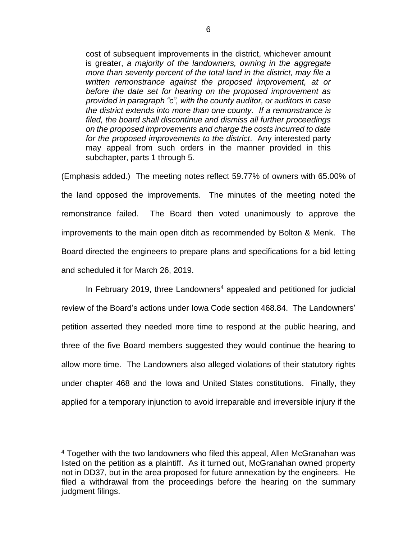cost of subsequent improvements in the district, whichever amount is greater, *a majority of the landowners, owning in the aggregate more than seventy percent of the total land in the district, may file a written remonstrance against the proposed improvement, at or before the date set for hearing on the proposed improvement as provided in paragraph "c", with the county auditor, or auditors in case the district extends into more than one county. If a remonstrance is filed, the board shall discontinue and dismiss all further proceedings on the proposed improvements and charge the costs incurred to date for the proposed improvements to the district*. Any interested party may appeal from such orders in the manner provided in this subchapter, parts 1 through 5.

(Emphasis added.) The meeting notes reflect 59.77% of owners with 65.00% of the land opposed the improvements. The minutes of the meeting noted the remonstrance failed. The Board then voted unanimously to approve the improvements to the main open ditch as recommended by Bolton & Menk. The Board directed the engineers to prepare plans and specifications for a bid letting and scheduled it for March 26, 2019.

In February 2019, three Landowners<sup>4</sup> appealed and petitioned for judicial review of the Board's actions under Iowa Code section 468.84. The Landowners' petition asserted they needed more time to respond at the public hearing, and three of the five Board members suggested they would continue the hearing to allow more time. The Landowners also alleged violations of their statutory rights under chapter 468 and the Iowa and United States constitutions. Finally, they applied for a temporary injunction to avoid irreparable and irreversible injury if the

<sup>&</sup>lt;sup>4</sup> Together with the two landowners who filed this appeal, Allen McGranahan was listed on the petition as a plaintiff. As it turned out, McGranahan owned property not in DD37, but in the area proposed for future annexation by the engineers. He filed a withdrawal from the proceedings before the hearing on the summary judgment filings.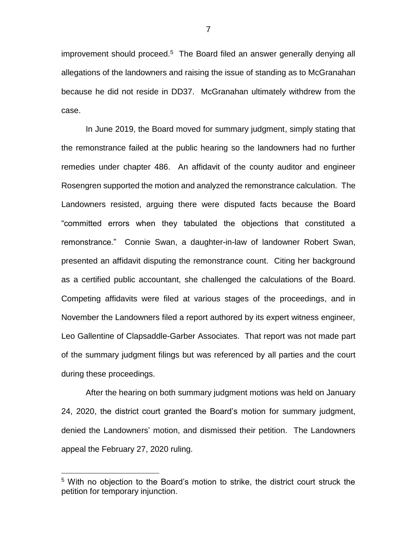improvement should proceed.<sup>5</sup> The Board filed an answer generally denying all allegations of the landowners and raising the issue of standing as to McGranahan because he did not reside in DD37. McGranahan ultimately withdrew from the case.

In June 2019, the Board moved for summary judgment, simply stating that the remonstrance failed at the public hearing so the landowners had no further remedies under chapter 486. An affidavit of the county auditor and engineer Rosengren supported the motion and analyzed the remonstrance calculation. The Landowners resisted, arguing there were disputed facts because the Board "committed errors when they tabulated the objections that constituted a remonstrance." Connie Swan, a daughter-in-law of landowner Robert Swan, presented an affidavit disputing the remonstrance count. Citing her background as a certified public accountant, she challenged the calculations of the Board. Competing affidavits were filed at various stages of the proceedings, and in November the Landowners filed a report authored by its expert witness engineer, Leo Gallentine of Clapsaddle-Garber Associates. That report was not made part of the summary judgment filings but was referenced by all parties and the court during these proceedings.

After the hearing on both summary judgment motions was held on January 24, 2020, the district court granted the Board's motion for summary judgment, denied the Landowners' motion, and dismissed their petition. The Landowners appeal the February 27, 2020 ruling.

<sup>&</sup>lt;sup>5</sup> With no objection to the Board's motion to strike, the district court struck the petition for temporary injunction.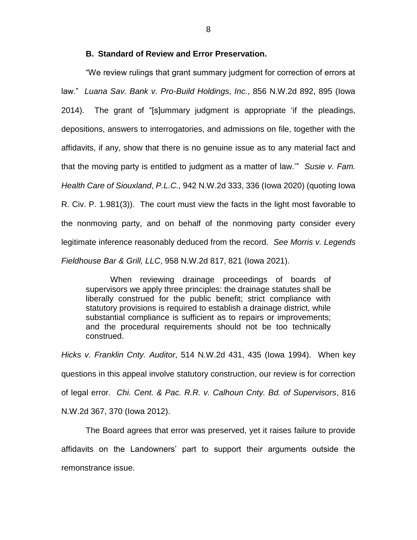### **B. Standard of Review and Error Preservation.**

"We review rulings that grant summary judgment for correction of errors at law." *Luana Sav. Bank v. Pro-Build Holdings*, *Inc.*, 856 N.W.2d 892, 895 (Iowa 2014). The grant of "[s]ummary judgment is appropriate 'if the pleadings, depositions, answers to interrogatories, and admissions on file, together with the affidavits, if any, show that there is no genuine issue as to any material fact and that the moving party is entitled to judgment as a matter of law.'" *Susie v. Fam. Health Care of Siouxland*, *P.L.C.,* 942 N.W.2d 333, 336 (Iowa 2020) (quoting Iowa R. Civ. P. 1.981(3)). The court must view the facts in the light most favorable to the nonmoving party, and on behalf of the nonmoving party consider every legitimate inference reasonably deduced from the record. *See Morris v. Legends Fieldhouse Bar & Grill, LLC*, 958 N.W.2d 817, 821 (Iowa 2021).

When reviewing drainage proceedings of boards of supervisors we apply three principles: the drainage statutes shall be liberally construed for the public benefit; strict compliance with statutory provisions is required to establish a drainage district, while substantial compliance is sufficient as to repairs or improvements; and the procedural requirements should not be too technically construed.

*Hicks v. Franklin Cnty. Auditor*, 514 N.W.2d 431, 435 (Iowa 1994). When key questions in this appeal involve statutory construction, our review is for correction of legal error. *Chi. Cent. & Pac. R.R. v. Calhoun Cnty. Bd. of Supervisors*, 816 N.W.2d 367, 370 (Iowa 2012).

The Board agrees that error was preserved, yet it raises failure to provide affidavits on the Landowners' part to support their arguments outside the remonstrance issue.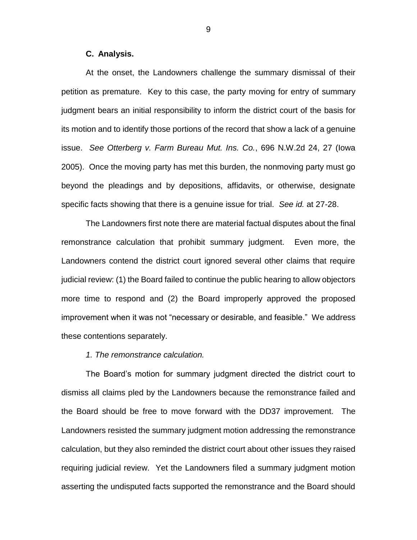#### **C. Analysis.**

At the onset, the Landowners challenge the summary dismissal of their petition as premature. Key to this case, the party moving for entry of summary judgment bears an initial responsibility to inform the district court of the basis for its motion and to identify those portions of the record that show a lack of a genuine issue. *See Otterberg v. Farm Bureau Mut. Ins. Co.*, 696 N.W.2d 24, 27 (Iowa 2005). Once the moving party has met this burden, the nonmoving party must go beyond the pleadings and by depositions, affidavits, or otherwise, designate specific facts showing that there is a genuine issue for trial. *See id.* at 27-28.

The Landowners first note there are material factual disputes about the final remonstrance calculation that prohibit summary judgment. Even more, the Landowners contend the district court ignored several other claims that require judicial review: (1) the Board failed to continue the public hearing to allow objectors more time to respond and (2) the Board improperly approved the proposed improvement when it was not "necessary or desirable, and feasible." We address these contentions separately.

#### *1. The remonstrance calculation.*

The Board's motion for summary judgment directed the district court to dismiss all claims pled by the Landowners because the remonstrance failed and the Board should be free to move forward with the DD37 improvement. The Landowners resisted the summary judgment motion addressing the remonstrance calculation, but they also reminded the district court about other issues they raised requiring judicial review. Yet the Landowners filed a summary judgment motion asserting the undisputed facts supported the remonstrance and the Board should

9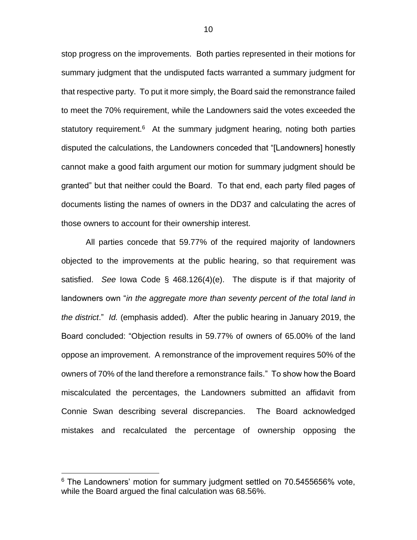stop progress on the improvements. Both parties represented in their motions for summary judgment that the undisputed facts warranted a summary judgment for that respective party. To put it more simply, the Board said the remonstrance failed to meet the 70% requirement, while the Landowners said the votes exceeded the statutory requirement.<sup>6</sup> At the summary judgment hearing, noting both parties disputed the calculations, the Landowners conceded that "[Landowners] honestly cannot make a good faith argument our motion for summary judgment should be granted" but that neither could the Board. To that end, each party filed pages of documents listing the names of owners in the DD37 and calculating the acres of those owners to account for their ownership interest.

All parties concede that 59.77% of the required majority of landowners objected to the improvements at the public hearing, so that requirement was satisfied. *See* Iowa Code § 468.126(4)(e). The dispute is if that majority of landowners own "*in the aggregate more than seventy percent of the total land in the district*." *Id.* (emphasis added).After the public hearing in January 2019, the Board concluded: "Objection results in 59.77% of owners of 65.00% of the land oppose an improvement. A remonstrance of the improvement requires 50% of the owners of 70% of the land therefore a remonstrance fails." To show how the Board miscalculated the percentages, the Landowners submitted an affidavit from Connie Swan describing several discrepancies. The Board acknowledged mistakes and recalculated the percentage of ownership opposing the

 $6$  The Landowners' motion for summary judgment settled on 70.5455656% vote, while the Board argued the final calculation was 68.56%.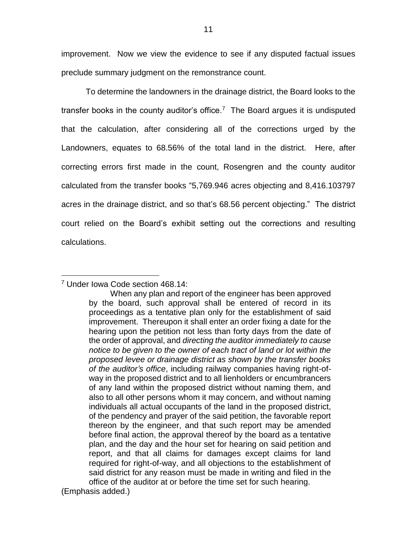improvement. Now we view the evidence to see if any disputed factual issues preclude summary judgment on the remonstrance count.

To determine the landowners in the drainage district, the Board looks to the transfer books in the county auditor's office.<sup>7</sup> The Board argues it is undisputed that the calculation, after considering all of the corrections urged by the Landowners, equates to 68.56% of the total land in the district. Here, after correcting errors first made in the count, Rosengren and the county auditor calculated from the transfer books "5,769.946 acres objecting and 8,416.103797 acres in the drainage district, and so that's 68.56 percent objecting." The district court relied on the Board's exhibit setting out the corrections and resulting calculations.

<sup>7</sup> Under Iowa Code section 468.14:

When any plan and report of the engineer has been approved by the board, such approval shall be entered of record in its proceedings as a tentative plan only for the establishment of said improvement. Thereupon it shall enter an order fixing a date for the hearing upon the petition not less than forty days from the date of the order of approval, and *directing the auditor immediately to cause notice to be given to the owner of each tract of land or lot within the proposed levee or drainage district as shown by the transfer books of the auditor's office*, including railway companies having right-ofway in the proposed district and to all lienholders or encumbrancers of any land within the proposed district without naming them, and also to all other persons whom it may concern, and without naming individuals all actual occupants of the land in the proposed district, of the pendency and prayer of the said petition, the favorable report thereon by the engineer, and that such report may be amended before final action, the approval thereof by the board as a tentative plan, and the day and the hour set for hearing on said petition and report, and that all claims for damages except claims for land required for right-of-way, and all objections to the establishment of said district for any reason must be made in writing and filed in the office of the auditor at or before the time set for such hearing.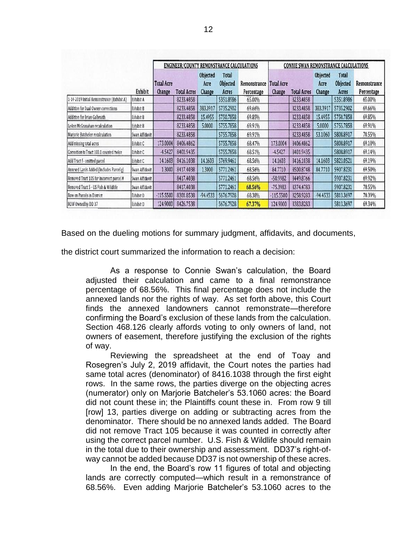|                                            | Exhibit        | <b>ENGINEER/COUNTY REMONSTRANCE CALCULATIONS</b> |                    |                            |                                          |                            | <b>CONNIE SWAN REMONSTRANCE CALCULATIONS</b> |                    |                                   |                                          |                            |
|--------------------------------------------|----------------|--------------------------------------------------|--------------------|----------------------------|------------------------------------------|----------------------------|----------------------------------------------|--------------------|-----------------------------------|------------------------------------------|----------------------------|
|                                            |                | <b>Total Acre</b><br>Change                      | <b>Total Acres</b> | Objected<br>Acre<br>Change | <b>Total</b><br><b>Objected</b><br>Acres | Remonstrance<br>Percentage | <b>Total Acre</b><br>Change                  | <b>Total Acres</b> | <b>Objected</b><br>Acre<br>Change | <b>Total</b><br><b>Objected</b><br>Acres | Remonstrance<br>Percentage |
| 1-14-2019 Initial Remonstrance (Exhibit A) | Exhibit A      |                                                  | 8233.4858          |                            | 5351.8986                                | 65.00%                     |                                              | 8233.4858          |                                   | 5351.8986                                | 65.00%                     |
| Addition for Dual Owner corrections        | Exhibit B      |                                                  | 8233.4858          | 383.3917                   | 5735.2902                                | 69.66%                     |                                              | 8233.4858          | 383.3917                          | 5735.2902                                | 69.66%                     |
| Addition for Brian Galbraith               | Exhibit B      |                                                  | 8233.4858          | 15.4955                    | 5750.7858                                | 69.85%                     |                                              | 8233.4858          | 15.4955                           | 5750.7858                                | 69.85%                     |
| LeAnn McGranahan recalculation             | Exhibit B      |                                                  | 8233.4858          | 5.0000                     | 5755.7858                                | 69.91%                     |                                              | 8233.4858          | 5.0000                            | 5755.7858                                | 69.91%                     |
| Marjorie Batcheler recalculation           | Swan Affidavit |                                                  | 8233.4858          |                            | 5755.7858                                | 69.91%                     |                                              | 8233.4858          | 53.1060                           | 5808.8917                                | 70.55%                     |
| Add missing total acres                    | Exhibit C      | 173.0004                                         | 8406.4862          |                            | 5755.7858                                | 68.47%                     | 173.0004                                     | 8406.4862          |                                   | 5808.8917                                | 69.10%                     |
| Correction to Tract 100.1 counted twice    | Exhibit C      | $-4.5427$                                        | 8401.9435          |                            | 5755.7858                                | 68.51%                     | $-4.5427$                                    | 8401.9435          |                                   | 5808.8917                                | 69.14%                     |
| Add Tract f - omitted parcel               | Exhibit C      | 14.1603                                          | 8416.1038          | 14.1603                    | 5769.9461                                | 68.56%                     | 14.1603                                      | 8416.1038          | 14.1603                           | 5823.0521                                | 69.19%                     |
| Annexed Lands Added (Includes Parcel g)    | Swan Affidavit | 1.3000                                           | 8417.4038          | 1.3000                     | 5771.2461                                | 68.56%                     | 84.7710                                      | 8500.8748          | 84.7710                           | 5907.8231                                | 69.50%                     |
| Removed Tract 105 for incorrect parcel #   | Swan Affidavit |                                                  | 8417.4038          |                            | 5771.2461                                | 68.56%                     | $-50.9982$                                   | 8449.8766          |                                   | 5907.8231                                | 69.92%                     |
| Removed Tract 5 - US Fish & Wildlife       | Swan Affidavit |                                                  | 8417.4038          |                            | 5771.2461                                | 68.56%                     | $-75.3983$                                   | 8374.4783          |                                   | 5907.8231                                | 70.55%                     |
| Row on Parcels in District                 | Exhibit D      | $-115.5500$                                      | 8301.8538          | -94.4533                   | 5676.7928                                | 68.38%                     | $-115.5500$                                  | 8258.9283          | $-94.4533$                        | 5813.3697                                | 70.39%                     |
| ROW Owned by DD 37                         | Exhibit D      | 124.9000                                         | 8426.7538          |                            | 5676.7928                                | 67.37%                     | 124,9000                                     | 8383.8283          |                                   | 5813.3697                                | 69.34%                     |

Based on the dueling motions for summary judgment, affidavits, and documents,

the district court summarized the information to reach a decision:

As a response to Connie Swan's calculation, the Board adjusted their calculation and came to a final remonstrance percentage of 68.56%. This final percentage does not include the annexed lands nor the rights of way. As set forth above, this Court finds the annexed landowners cannot remonstrate—therefore confirming the Board's exclusion of these lands from the calculation. Section 468.126 clearly affords voting to only owners of land, not owners of easement, therefore justifying the exclusion of the rights of way.

Reviewing the spreadsheet at the end of Toay and Rosegren's July 2, 2019 affidavit, the Court notes the parties had same total acres (denominator) of 8416.1038 through the first eight rows. In the same rows, the parties diverge on the objecting acres (numerator) only on Marjorie Batcheler's 53.1060 acres: the Board did not count these in; the Plaintiffs count these in. From row 9 till [row] 13, parties diverge on adding or subtracting acres from the denominator. There should be no annexed lands added. The Board did not remove Tract 105 because it was counted in correctly after using the correct parcel number. U.S. Fish & Wildlife should remain in the total due to their ownership and assessment. DD37's right-ofway cannot be added because DD37 is not ownership of these acres.

In the end, the Board's row 11 figures of total and objecting lands are correctly computed—which result in a remonstrance of 68.56%. Even adding Marjorie Batcheler's 53.1060 acres to the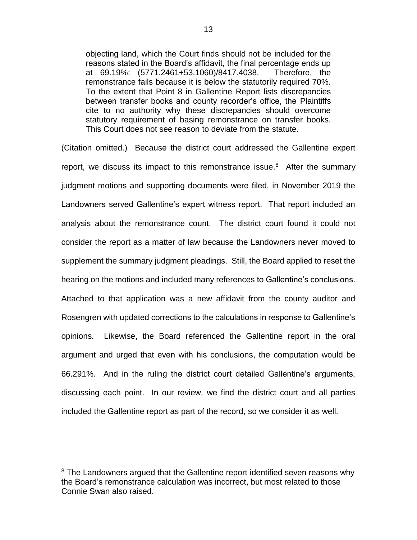objecting land, which the Court finds should not be included for the reasons stated in the Board's affidavit, the final percentage ends up at 69.19%: (5771.2461+53.1060)/8417.4038. Therefore, the remonstrance fails because it is below the statutorily required 70%. To the extent that Point 8 in Gallentine Report lists discrepancies between transfer books and county recorder's office, the Plaintiffs cite to no authority why these discrepancies should overcome statutory requirement of basing remonstrance on transfer books. This Court does not see reason to deviate from the statute.

(Citation omitted.) Because the district court addressed the Gallentine expert report, we discuss its impact to this remonstrance issue. $8$  After the summary judgment motions and supporting documents were filed, in November 2019 the Landowners served Gallentine's expert witness report. That report included an analysis about the remonstrance count. The district court found it could not consider the report as a matter of law because the Landowners never moved to supplement the summary judgment pleadings. Still, the Board applied to reset the hearing on the motions and included many references to Gallentine's conclusions. Attached to that application was a new affidavit from the county auditor and Rosengren with updated corrections to the calculations in response to Gallentine's opinions. Likewise, the Board referenced the Gallentine report in the oral argument and urged that even with his conclusions, the computation would be 66.291%. And in the ruling the district court detailed Gallentine's arguments, discussing each point. In our review, we find the district court and all parties included the Gallentine report as part of the record, so we consider it as well.

 $8$  The Landowners argued that the Gallentine report identified seven reasons why the Board's remonstrance calculation was incorrect, but most related to those Connie Swan also raised.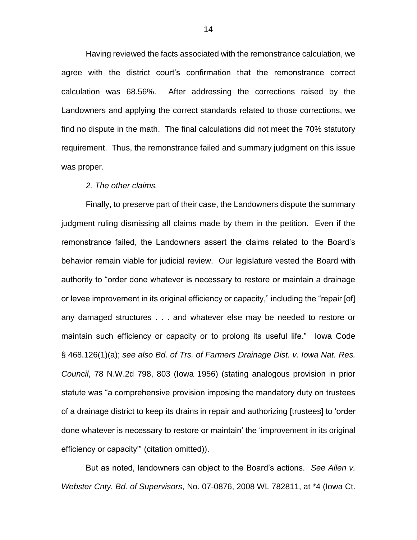Having reviewed the facts associated with the remonstrance calculation, we agree with the district court's confirmation that the remonstrance correct calculation was 68.56%. After addressing the corrections raised by the Landowners and applying the correct standards related to those corrections, we find no dispute in the math. The final calculations did not meet the 70% statutory requirement. Thus, the remonstrance failed and summary judgment on this issue was proper.

#### *2. The other claims.*

Finally, to preserve part of their case, the Landowners dispute the summary judgment ruling dismissing all claims made by them in the petition. Even if the remonstrance failed, the Landowners assert the claims related to the Board's behavior remain viable for judicial review. Our legislature vested the Board with authority to "order done whatever is necessary to restore or maintain a drainage or levee improvement in its original efficiency or capacity," including the "repair [of] any damaged structures . . . and whatever else may be needed to restore or maintain such efficiency or capacity or to prolong its useful life." Iowa Code § 468.126(1)(a); *see also Bd. of Trs. of Farmers Drainage Dist. v. Iowa Nat. Res. Council*, 78 N.W.2d 798, 803 (Iowa 1956) (stating analogous provision in prior statute was "a comprehensive provision imposing the mandatory duty on trustees of a drainage district to keep its drains in repair and authorizing [trustees] to 'order done whatever is necessary to restore or maintain' the 'improvement in its original efficiency or capacity'" (citation omitted)).

But as noted, landowners can object to the Board's actions. *See Allen v. Webster Cnty. Bd. of Supervisors*, No. 07-0876, 2008 WL 782811, at \*4 (Iowa Ct.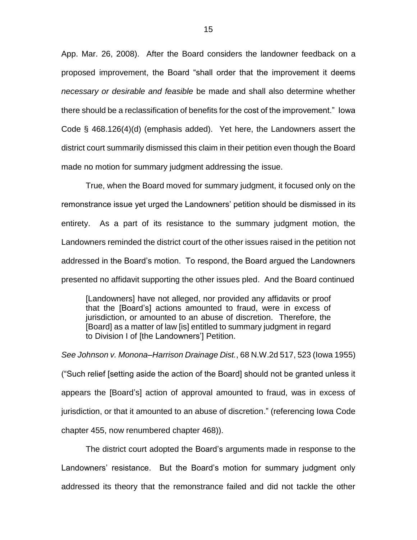App. Mar. 26, 2008). After the Board considers the landowner feedback on a proposed improvement, the Board "shall order that the improvement it deems *necessary or desirable and feasible* be made and shall also determine whether there should be a reclassification of benefits for the cost of the improvement." Iowa Code § 468.126(4)(d) (emphasis added). Yet here, the Landowners assert the district court summarily dismissed this claim in their petition even though the Board made no motion for summary judgment addressing the issue.

True, when the Board moved for summary judgment, it focused only on the remonstrance issue yet urged the Landowners' petition should be dismissed in its entirety. As a part of its resistance to the summary judgment motion, the Landowners reminded the district court of the other issues raised in the petition not addressed in the Board's motion. To respond, the Board argued the Landowners presented no affidavit supporting the other issues pled. And the Board continued

[Landowners] have not alleged, nor provided any affidavits or proof that the [Board's] actions amounted to fraud, were in excess of jurisdiction, or amounted to an abuse of discretion. Therefore, the [Board] as a matter of law [is] entitled to summary judgment in regard to Division I of [the Landowners'] Petition.

*See Johnson v. Monona–Harrison Drainage Dist.*, 68 N.W.2d 517, 523 (Iowa 1955) ("Such relief [setting aside the action of the Board] should not be granted unless it appears the [Board's] action of approval amounted to fraud, was in excess of jurisdiction, or that it amounted to an abuse of discretion." (referencing Iowa Code chapter 455, now renumbered chapter 468)).

The district court adopted the Board's arguments made in response to the Landowners' resistance. But the Board's motion for summary judgment only addressed its theory that the remonstrance failed and did not tackle the other